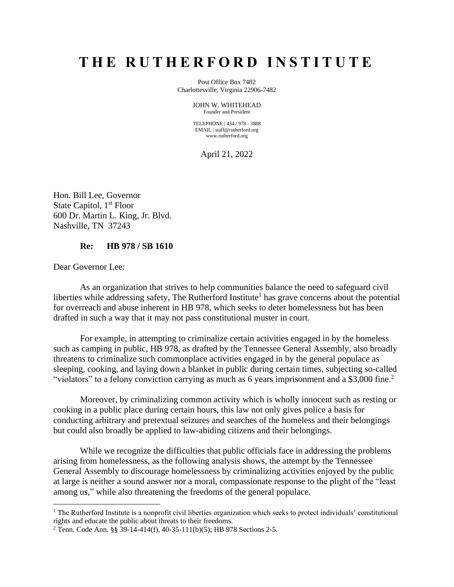# **T H E R U T H E R F O R D I N S T I T U T E**

Post Office Box 7482 Charlottesville, Virginia 22906-7482

> JOHN W. WHITEHEAD Founder and President

> TELEPHONE | 434 / 978 - 3888 EMAIL | staff@rutherford.org www.rutherford.org

> > April 21, 2022

Hon. Bill Lee, Governor State Capitol, 1<sup>st</sup> Floor 600 Dr. Martin L. King, Jr. Blvd. Nashville, TN 37243

#### **Re: HB 978 / SB 1610**

Dear Governor Lee:

As an organization that strives to help communities balance the need to safeguard civil liberties while addressing safety, The Rutherford Institute<sup>1</sup> has grave concerns about the potential for overreach and abuse inherent in HB 978, which seeks to deter homelessness but has been drafted in such a way that it may not pass constitutional muster in court.

For example, in attempting to criminalize certain activities engaged in by the homeless such as camping in public, HB 978, as drafted by the Tennessee General Assembly, also broadly threatens to criminalize such commonplace activities engaged in by the general populace as sleeping, cooking, and laying down a blanket in public during certain times, subjecting so-called "violators" to a felony conviction carrying as much as 6 years imprisonment and a \$3,000 fine.<sup>2</sup>

Moreover, by criminalizing common activity which is wholly innocent such as resting or cooking in a public place during certain hours, this law not only gives police a basis for conducting arbitrary and pretextual seizures and searches of the homeless and their belongings but could also broadly be applied to law-abiding citizens and their belongings.

While we recognize the difficulties that public officials face in addressing the problems arising from homelessness, as the following analysis shows, the attempt by the Tennessee General Assembly to discourage homelessness by criminalizing activities enjoyed by the public at large is neither a sound answer nor a moral, compassionate response to the plight of the "least among us," while also threatening the freedoms of the general populace.

<sup>&</sup>lt;sup>1</sup> The Rutherford Institute is a nonprofit civil liberties organization which seeks to protect individuals' constitutional rights and educate the public about threats to their freedoms.

<sup>2</sup> Tenn. Code Ann. §§ 39-14-414(f), 40-35-111(b)(5); HB 978 Sections 2-5.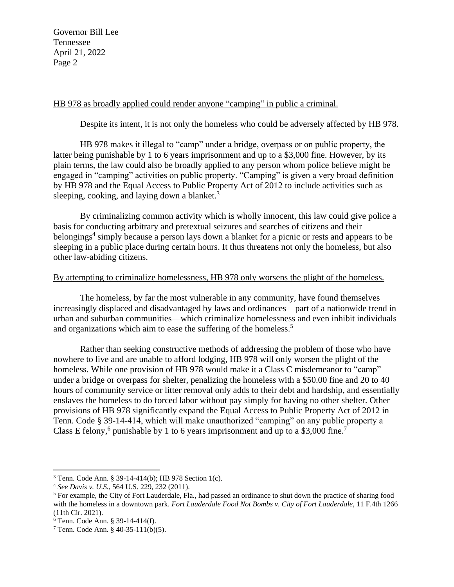## HB 978 as broadly applied could render anyone "camping" in public a criminal.

Despite its intent, it is not only the homeless who could be adversely affected by HB 978.

HB 978 makes it illegal to "camp" under a bridge, overpass or on public property, the latter being punishable by 1 to 6 years imprisonment and up to a \$3,000 fine. However, by its plain terms, the law could also be broadly applied to any person whom police believe might be engaged in "camping" activities on public property. "Camping" is given a very broad definition by HB 978 and the Equal Access to Public Property Act of 2012 to include activities such as sleeping, cooking, and laying down a blanket.<sup>3</sup>

By criminalizing common activity which is wholly innocent, this law could give police a basis for conducting arbitrary and pretextual seizures and searches of citizens and their belongings<sup>4</sup> simply because a person lays down a blanket for a picnic or rests and appears to be sleeping in a public place during certain hours. It thus threatens not only the homeless, but also other law-abiding citizens.

## By attempting to criminalize homelessness, HB 978 only worsens the plight of the homeless.

The homeless, by far the most vulnerable in any community, have found themselves increasingly displaced and disadvantaged by laws and ordinances—part of a nationwide trend in urban and suburban communities—which criminalize homelessness and even inhibit individuals and organizations which aim to ease the suffering of the homeless.<sup>5</sup>

Rather than seeking constructive methods of addressing the problem of those who have nowhere to live and are unable to afford lodging, HB 978 will only worsen the plight of the homeless. While one provision of HB 978 would make it a Class C misdemeanor to "camp" under a bridge or overpass for shelter, penalizing the homeless with a \$50.00 fine and 20 to 40 hours of community service or litter removal only adds to their debt and hardship, and essentially enslaves the homeless to do forced labor without pay simply for having no other shelter. Other provisions of HB 978 significantly expand the Equal Access to Public Property Act of 2012 in Tenn. Code § 39-14-414, which will make unauthorized "camping" on any public property a Class E felony,<sup>6</sup> punishable by 1 to 6 years imprisonment and up to a \$3,000 fine.<sup>7</sup>

<sup>3</sup> Tenn. Code Ann. § 39-14-414(b); HB 978 Section 1(c).

<sup>4</sup> *See Davis v. U.S.*, 564 U.S. 229, 232 (2011).

<sup>5</sup> For example, the City of Fort Lauderdale, Fla., had passed an ordinance to shut down the practice of sharing food with the homeless in a downtown park. *Fort Lauderdale Food Not Bombs v. City of Fort Lauderdale*, 11 F.4th 1266 (11th Cir. 2021).

<sup>6</sup> Tenn. Code Ann. § 39-14-414(f).

<sup>7</sup> Tenn. Code Ann. § 40-35-111(b)(5).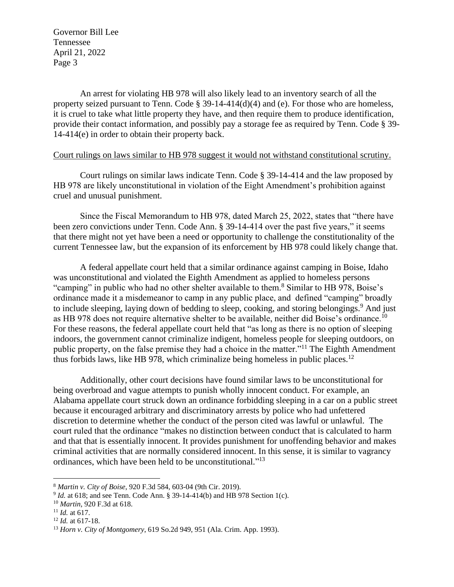An arrest for violating HB 978 will also likely lead to an inventory search of all the property seized pursuant to Tenn. Code § 39-14-414(d)(4) and (e). For those who are homeless, it is cruel to take what little property they have, and then require them to produce identification, provide their contact information, and possibly pay a storage fee as required by Tenn. Code § 39- 14-414(e) in order to obtain their property back.

#### Court rulings on laws similar to HB 978 suggest it would not withstand constitutional scrutiny.

Court rulings on similar laws indicate Tenn. Code § 39-14-414 and the law proposed by HB 978 are likely unconstitutional in violation of the Eight Amendment's prohibition against cruel and unusual punishment.

Since the Fiscal Memorandum to HB 978, dated March 25, 2022, states that "there have been zero convictions under Tenn. Code Ann. § 39-14-414 over the past five years," it seems that there might not yet have been a need or opportunity to challenge the constitutionality of the current Tennessee law, but the expansion of its enforcement by HB 978 could likely change that.

A federal appellate court held that a similar ordinance against camping in Boise, Idaho was unconstitutional and violated the Eighth Amendment as applied to homeless persons "camping" in public who had no other shelter available to them.<sup>8</sup> Similar to HB 978, Boise's ordinance made it a misdemeanor to camp in any public place, and defined "camping" broadly to include sleeping, laying down of bedding to sleep, cooking, and storing belongings.<sup>9</sup> And just as HB 978 does not require alternative shelter to be available, neither did Boise's ordinance.<sup>10</sup> For these reasons, the federal appellate court held that "as long as there is no option of sleeping indoors, the government cannot criminalize indigent, homeless people for sleeping outdoors, on public property, on the false premise they had a choice in the matter."<sup>11</sup> The Eighth Amendment thus forbids laws, like HB 978, which criminalize being homeless in public places.<sup>12</sup>

Additionally, other court decisions have found similar laws to be unconstitutional for being overbroad and vague attempts to punish wholly innocent conduct. For example, an Alabama appellate court struck down an ordinance forbidding sleeping in a car on a public street because it encouraged arbitrary and discriminatory arrests by police who had unfettered discretion to determine whether the conduct of the person cited was lawful or unlawful. The court ruled that the ordinance "makes no distinction between conduct that is calculated to harm and that that is essentially innocent. It provides punishment for unoffending behavior and makes criminal activities that are normally considered innocent. In this sense, it is similar to vagrancy ordinances, which have been held to be unconstitutional."<sup>13</sup>

<sup>8</sup> *Martin v. City of Boise*, 920 F.3d 584, 603-04 (9th Cir. 2019).

<sup>&</sup>lt;sup>9</sup> *Id.* at 618; and see Tenn. Code Ann. § 39-14-414(b) and HB 978 Section 1(c).

<sup>10</sup> *Martin*, 920 F.3d at 618.

<sup>11</sup> *Id.* at 617.

<sup>12</sup> *Id.* at 617-18.

<sup>13</sup> *Horn v. City of Montgomery*, 619 So.2d 949, 951 (Ala. Crim. App. 1993).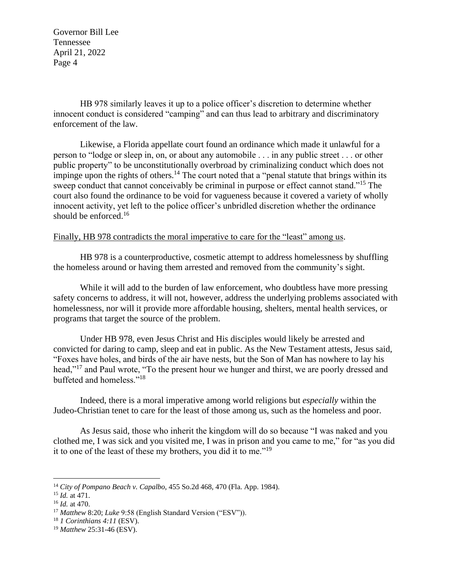HB 978 similarly leaves it up to a police officer's discretion to determine whether innocent conduct is considered "camping" and can thus lead to arbitrary and discriminatory enforcement of the law.

Likewise, a Florida appellate court found an ordinance which made it unlawful for a person to "lodge or sleep in, on, or about any automobile . . . in any public street . . . or other public property" to be unconstitutionally overbroad by criminalizing conduct which does not impinge upon the rights of others.<sup>14</sup> The court noted that a "penal statute that brings within its sweep conduct that cannot conceivably be criminal in purpose or effect cannot stand."<sup>15</sup> The court also found the ordinance to be void for vagueness because it covered a variety of wholly innocent activity, yet left to the police officer's unbridled discretion whether the ordinance should be enforced.<sup>16</sup>

## Finally, HB 978 contradicts the moral imperative to care for the "least" among us.

HB 978 is a counterproductive, cosmetic attempt to address homelessness by shuffling the homeless around or having them arrested and removed from the community's sight.

While it will add to the burden of law enforcement, who doubtless have more pressing safety concerns to address, it will not, however, address the underlying problems associated with homelessness, nor will it provide more affordable housing, shelters, mental health services, or programs that target the source of the problem.

Under HB 978, even Jesus Christ and His disciples would likely be arrested and convicted for daring to camp, sleep and eat in public. As the New Testament attests, Jesus said, "Foxes have holes, and birds of the air have nests, but the Son of Man has nowhere to lay his head,"<sup>17</sup> and Paul wrote, "To the present hour we hunger and thirst, we are poorly dressed and buffeted and homeless."<sup>18</sup>

Indeed, there is a moral imperative among world religions but *especially* within the Judeo-Christian tenet to care for the least of those among us, such as the homeless and poor.

As Jesus said, those who inherit the kingdom will do so because "I was naked and you clothed me, I was sick and you visited me, I was in prison and you came to me," for "as you did it to one of the least of these my brothers, you did it to me."<sup>19</sup>

<sup>14</sup> *City of Pompano Beach v. Capalbo*, 455 So.2d 468, 470 (Fla. App. 1984).

<sup>15</sup> *Id.* at 471.

<sup>16</sup> *Id.* at 470.

<sup>17</sup> *Matthew* 8:20; *Luke* 9:58 (English Standard Version ("ESV")).

<sup>18</sup> *1 Corinthians 4:11* (ESV).

<sup>19</sup> *Matthew* 25:31-46 (ESV).